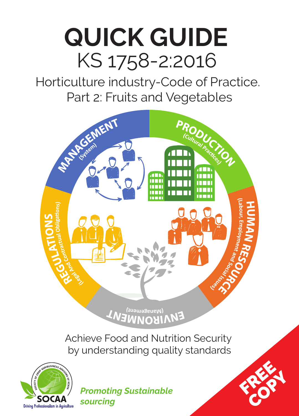# **QUICK GUIDE** KS 1758-2:2016

Horticulture industry-Code of Practice. Part 2: Fruits and Vegetables





*Promoting Sustainable sourcing*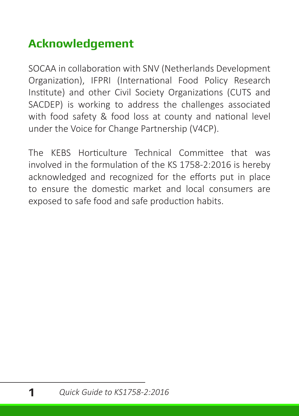# **Acknowledgement**

SOCAA in collaboration with SNV (Netherlands Development Organization), IFPRI (International Food Policy Research Institute) and other Civil Society Organizations (CUTS and SACDEP) is working to address the challenges associated with food safety & food loss at county and national level under the Voice for Change Partnership (V4CP).

The KEBS Horticulture Technical Committee that was involved in the formulation of the KS 1758-2:2016 is hereby acknowledged and recognized for the efforts put in place to ensure the domestic market and local consumers are exposed to safe food and safe production habits.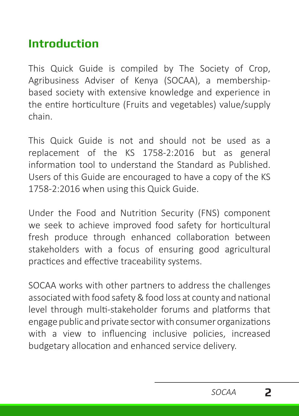# **Introduction**

This Quick Guide is compiled by The Society of Crop, Agribusiness Adviser of Kenya (SOCAA), a membershipbased society with extensive knowledge and experience in the entire horticulture (Fruits and vegetables) value/supply chain.

This Quick Guide is not and should not be used as a replacement of the KS 1758-2:2016 but as general information tool to understand the Standard as Published. Users of this Guide are encouraged to have a copy of the KS 1758-2:2016 when using this Quick Guide.

Under the Food and Nutrition Security (FNS) component we seek to achieve improved food safety for horticultural fresh produce through enhanced collaboration between stakeholders with a focus of ensuring good agricultural practices and effective traceability systems.

SOCAA works with other partners to address the challenges associated with food safety & food loss at county and national level through multi-stakeholder forums and platforms that engage public and private sector with consumer organizations with a view to influencing inclusive policies, increased budgetary allocation and enhanced service delivery.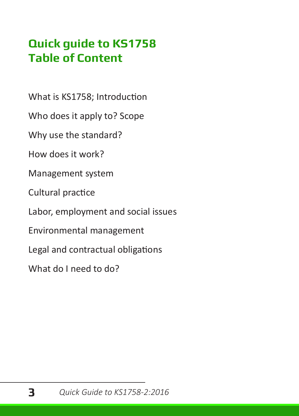# **Quick guide to KS1758 Table of Content**

What is KS1758; Introduction

Who does it apply to? Scope

Why use the standard?

How does it work?

Management system

Cultural practice

Labor, employment and social issues

Environmental management

Legal and contractual obligations

What do I need to do?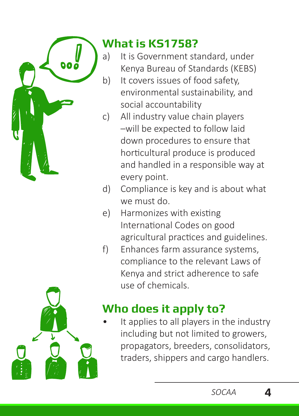

# **What is KS1758?**

- a) It is Government standard, under Kenya Bureau of Standards (KEBS)
- b) It covers issues of food safety, environmental sustainability, and social accountability
- c) All industry value chain players –will be expected to follow laid down procedures to ensure that horticultural produce is produced and handled in a responsible way at every point.
- d) Compliance is key and is about what we must do.
- e) Harmonizes with existing International Codes on good agricultural practices and guidelines.
- f) Enhances farm assurance systems, compliance to the relevant Laws of Kenya and strict adherence to safe use of chemicals.

# **Who does it apply to?**

It applies to all players in the industry including but not limited to growers, propagators, breeders, consolidators, traders, shippers and cargo handlers.

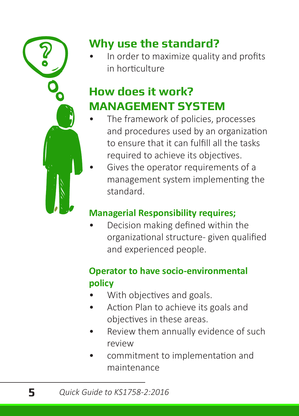

# **Why use the standard?**

In order to maximize quality and profits in horticulture

# **How does it work? MANAGEMENT SYSTEM**

- The framework of policies, processes and procedures used by an organization to ensure that it can fulfill all the tasks required to achieve its objectives.
- Gives the operator requirements of a management system implementing the standard.

# **Managerial Responsibility requires;**

• Decision making defined within the organizational structure- given qualified and experienced people.

# **Operator to have socio-environmental policy**

- With objectives and goals.
- Action Plan to achieve its goals and objectives in these areas.
- Review them annually evidence of such review
- commitment to implementation and maintenance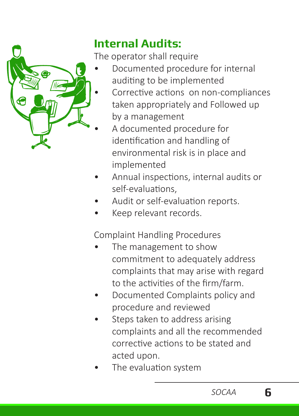

# **Internal Audits:**

The operator shall require

- Documented procedure for internal auditing to be implemented
	- Corrective actions on non-compliances taken appropriately and Followed up by a management
	- A documented procedure for identification and handling of environmental risk is in place and implemented
- Annual inspections, internal audits or self-evaluations,
- Audit or self-evaluation reports.
- Keep relevant records.

Complaint Handling Procedures

- The management to show commitment to adequately address complaints that may arise with regard to the activities of the firm/farm.
- Documented Complaints policy and procedure and reviewed
- Steps taken to address arising complaints and all the recommended corrective actions to be stated and acted upon.
- The evaluation system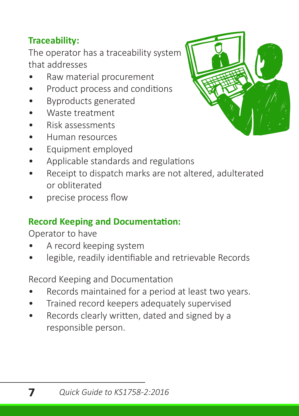### **Traceability:**

The operator has a traceability system that addresses

- Raw material procurement
- Product process and conditions
- Byproducts generated
- Waste treatment
- Risk assessments
- Human resources
- Equipment employed
- Applicable standards and regulations
- Receipt to dispatch marks are not altered, adulterated or obliterated
- precise process flow

### **Record Keeping and Documentation:**

Operator to have

- A record keeping system
- legible, readily identifiable and retrievable Records

Record Keeping and Documentation

- Records maintained for a period at least two years.
- Trained record keepers adequately supervised
- Records clearly written, dated and signed by a responsible person.

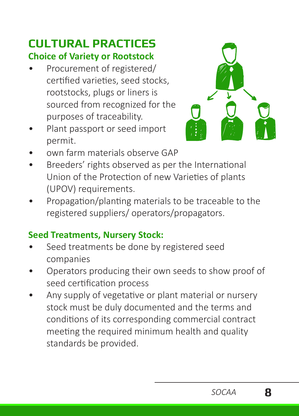# **CULTURAL PRACTICES Choice of Variety or Rootstock**

- Procurement of registered/ certified varieties, seed stocks, rootstocks, plugs or liners is sourced from recognized for the purposes of traceability.
- Plant passport or seed import permit.



- own farm materials observe GAP
- Breeders' rights observed as per the International Union of the Protection of new Varieties of plants (UPOV) requirements.
- Propagation/planting materials to be traceable to the registered suppliers/ operators/propagators.

#### **Seed Treatments, Nursery Stock:**

- Seed treatments be done by registered seed companies
- Operators producing their own seeds to show proof of seed certification process
- Any supply of vegetative or plant material or nursery stock must be duly documented and the terms and conditions of its corresponding commercial contract meeting the required minimum health and quality standards be provided.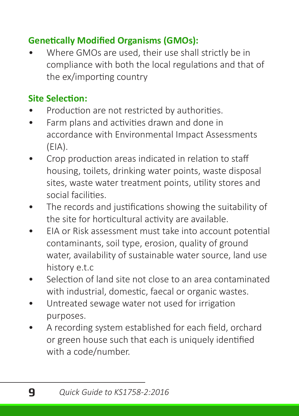### **Genetically Modified Organisms (GMOs):**

• Where GMOs are used, their use shall strictly be in compliance with both the local regulations and that of the ex/importing country

### **Site Selection:**

- Production are not restricted by authorities.
- Farm plans and activities drawn and done in accordance with Environmental Impact Assessments (EIA).
- Crop production areas indicated in relation to staff housing, toilets, drinking water points, waste disposal sites, waste water treatment points, utility stores and social facilities.
- The records and justifications showing the suitability of the site for horticultural activity are available.
- EIA or Risk assessment must take into account potential contaminants, soil type, erosion, quality of ground water, availability of sustainable water source, land use history e.t.c
- Selection of land site not close to an area contaminated with industrial, domestic, faecal or organic wastes.
- Untreated sewage water not used for irrigation purposes.
- A recording system established for each field, orchard or green house such that each is uniquely identified with a code/number.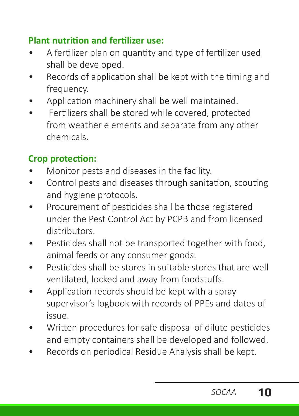#### **Plant nutrition and fertilizer use:**

- A fertilizer plan on quantity and type of fertilizer used shall be developed.
- Records of application shall be kept with the timing and frequency.
- Application machinery shall be well maintained.
- Fertilizers shall be stored while covered, protected from weather elements and separate from any other chemicals.

### **Crop protection:**

- Monitor pests and diseases in the facility.
- Control pests and diseases through sanitation, scouting and hygiene protocols.
- Procurement of pesticides shall be those registered under the Pest Control Act by PCPB and from licensed distributors.
- Pesticides shall not be transported together with food. animal feeds or any consumer goods.
- Pesticides shall be stores in suitable stores that are well ventilated, locked and away from foodstuffs.
- Application records should be kept with a spray supervisor's logbook with records of PPEs and dates of issue.
- Written procedures for safe disposal of dilute pesticides and empty containers shall be developed and followed.
- Records on periodical Residue Analysis shall be kept.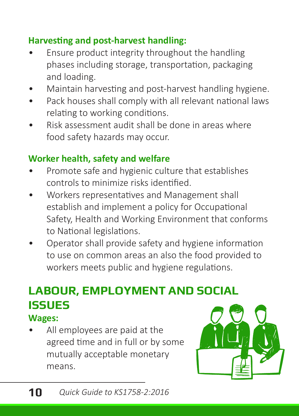#### **Harvesting and post-harvest handling:**

- Ensure product integrity throughout the handling phases including storage, transportation, packaging and loading.
- Maintain harvesting and post-harvest handling hygiene.
- Pack houses shall comply with all relevant national laws relating to working conditions.
- Risk assessment audit shall be done in areas where food safety hazards may occur.

### **Worker health, safety and welfare**

- Promote safe and hygienic culture that establishes controls to minimize risks identified.
- Workers representatives and Management shall establish and implement a policy for Occupational Safety, Health and Working Environment that conforms to National legislations.
- Operator shall provide safety and hygiene information to use on common areas an also the food provided to workers meets public and hygiene regulations.

# **LABOUR, EMPLOYMENT AND SOCIAL ISSUES**

#### **Wages:**

All employees are paid at the agreed time and in full or by some mutually acceptable monetary means.

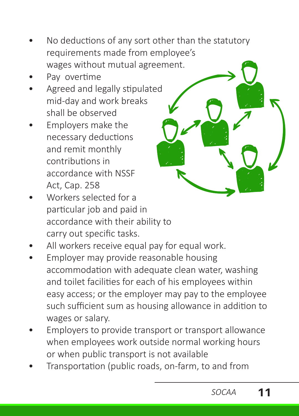- No deductions of any sort other than the statutory requirements made from employee's wages without mutual agreement.
- Pay overtime
- Agreed and legally stipulated mid-day and work breaks shall be observed
- Employers make the necessary deductions and remit monthly contributions in accordance with NSSF Act, Cap. 258
- Workers selected for a particular job and paid in accordance with their ability to carry out specific tasks.
- All workers receive equal pay for equal work.
- Employer may provide reasonable housing accommodation with adequate clean water, washing and toilet facilities for each of his employees within easy access; or the employer may pay to the employee such sufficient sum as housing allowance in addition to wages or salary.
- Employers to provide transport or transport allowance when employees work outside normal working hours or when public transport is not available
- Transportation (public roads, on-farm, to and from

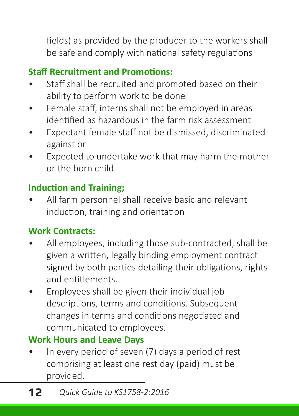fields) as provided by the producer to the workers shall be safe and comply with national safety regulations

### **Staff Recruitment and Promotions:**

- Staff shall be recruited and promoted based on their ability to perform work to be done
- Female staff, interns shall not be employed in areas identified as hazardous in the farm risk assessment
- Expectant female staff not be dismissed, discriminated against or
- Expected to undertake work that may harm the mother or the born child.

#### **Induction and Training;**

• All farm personnel shall receive basic and relevant induction, training and orientation

#### **Work Contracts:**

- All employees, including those sub-contracted, shall be given a written, legally binding employment contract signed by both parties detailing their obligations, rights and entitlements.
- Employees shall be given their individual job descriptions, terms and conditions. Subsequent changes in terms and conditions negotiated and communicated to employees.

#### **Work Hours and Leave Days**

In every period of seven (7) days a period of rest comprising at least one rest day (paid) must be provided.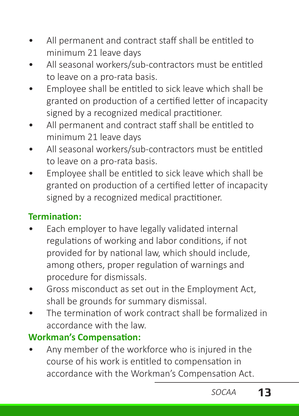- All permanent and contract staff shall be entitled to minimum 21 leave days
- All seasonal workers/sub-contractors must be entitled to leave on a pro-rata basis.
- Employee shall be entitled to sick leave which shall be granted on production of a certified letter of incapacity signed by a recognized medical practitioner.
- All permanent and contract staff shall be entitled to minimum 21 leave days
- All seasonal workers/sub-contractors must be entitled to leave on a pro-rata basis.
- Employee shall be entitled to sick leave which shall be granted on production of a certified letter of incapacity signed by a recognized medical practitioner.

### **Termination:**

- Each employer to have legally validated internal regulations of working and labor conditions, if not provided for by national law, which should include, among others, proper regulation of warnings and procedure for dismissals.
- Gross misconduct as set out in the Employment Act, shall be grounds for summary dismissal.
- The termination of work contract shall be formalized in accordance with the law.

#### **Workman's Compensation:**

• Any member of the workforce who is injured in the course of his work is entitled to compensation in accordance with the Workman's Compensation Act.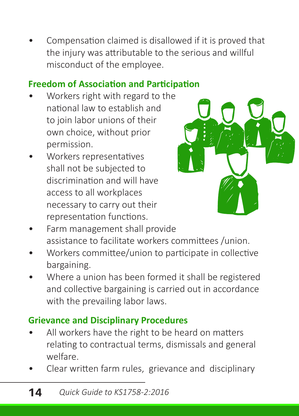• Compensation claimed is disallowed if it is proved that the injury was attributable to the serious and willful misconduct of the employee.

#### **Freedom of Association and Participation**

- Workers right with regard to the national law to establish and to join labor unions of their own choice, without prior permission.
- Workers representatives shall not be subjected to discrimination and will have access to all workplaces necessary to carry out their representation functions.



- Farm management shall provide assistance to facilitate workers committees /union.
- Workers committee/union to participate in collective bargaining.
- Where a union has been formed it shall be registered and collective bargaining is carried out in accordance with the prevailing labor laws.

#### **Grievance and Disciplinary Procedures**

- All workers have the right to be heard on matters relating to contractual terms, dismissals and general welfare.
- Clear written farm rules, grievance and disciplinary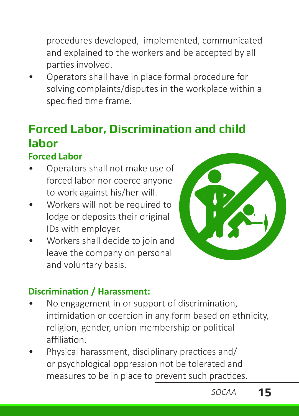procedures developed, implemented, communicated and explained to the workers and be accepted by all parties involved.

• Operators shall have in place formal procedure for solving complaints/disputes in the workplace within a specified time frame.

# **Forced Labor, Discrimination and child labor**

#### **Forced Labor**

- Operators shall not make use of forced labor nor coerce anyone to work against his/her will.
- Workers will not be required to lodge or deposits their original IDs with employer.
- Workers shall decide to join and leave the company on personal and voluntary basis.



#### **Discrimination / Harassment:**

- No engagement in or support of discrimination, intimidation or coercion in any form based on ethnicity, religion, gender, union membership or political affiliation.
- Physical harassment, disciplinary practices and/ or psychological oppression not be tolerated and measures to be in place to prevent such practices.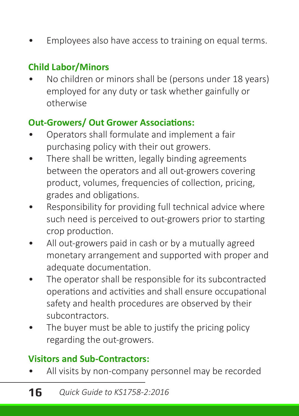Employees also have access to training on equal terms.

### **Child Labor/Minors**

• No children or minors shall be (persons under 18 years) employed for any duty or task whether gainfully or otherwise

#### **Out-Growers/ Out Grower Associations:**

- Operators shall formulate and implement a fair purchasing policy with their out growers.
- There shall be written, legally binding agreements between the operators and all out-growers covering product, volumes, frequencies of collection, pricing, grades and obligations.
- Responsibility for providing full technical advice where such need is perceived to out-growers prior to starting crop production.
- All out-growers paid in cash or by a mutually agreed monetary arrangement and supported with proper and adequate documentation.
- The operator shall be responsible for its subcontracted operations and activities and shall ensure occupational safety and health procedures are observed by their subcontractors.
- The buyer must be able to justify the pricing policy regarding the out-growers.

#### **Visitors and Sub-Contractors:**

All visits by non-company personnel may be recorded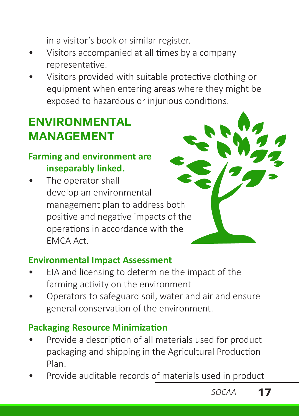in a visitor's book or similar register.

- Visitors accompanied at all times by a company representative.
- Visitors provided with suitable protective clothing or equipment when entering areas where they might be exposed to hazardous or injurious conditions.

# **ENVIRONMENTAL MANAGEMENT**

#### **Farming and environment are inseparably linked.**

The operator shall develop an environmental management plan to address both positive and negative impacts of the operations in accordance with the EMCA Act.



#### **Environmental Impact Assessment**

- EIA and licensing to determine the impact of the farming activity on the environment
- Operators to safeguard soil, water and air and ensure general conservation of the environment.

#### **Packaging Resource Minimization**

- Provide a description of all materials used for product packaging and shipping in the Agricultural Production Plan.
- Provide auditable records of materials used in product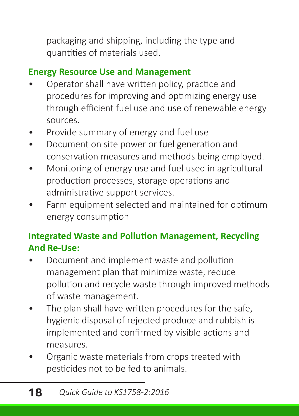packaging and shipping, including the type and quantities of materials used.

### **Energy Resource Use and Management**

- Operator shall have written policy, practice and procedures for improving and optimizing energy use through efficient fuel use and use of renewable energy sources.
- Provide summary of energy and fuel use
- Document on site power or fuel generation and conservation measures and methods being employed.
- Monitoring of energy use and fuel used in agricultural production processes, storage operations and administrative support services.
- Farm equipment selected and maintained for optimum energy consumption

### **Integrated Waste and Pollution Management, Recycling And Re-Use:**

- Document and implement waste and pollution management plan that minimize waste, reduce pollution and recycle waste through improved methods of waste management.
- The plan shall have written procedures for the safe, hygienic disposal of rejected produce and rubbish is implemented and confirmed by visible actions and measures.
- Organic waste materials from crops treated with pesticides not to be fed to animals.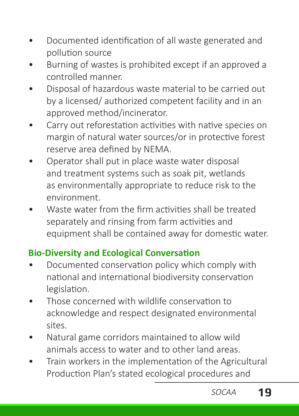- Documented identification of all waste generated and pollution source
- Burning of wastes is prohibited except if an approved a controlled manner.
- Disposal of hazardous waste material to be carried out by a licensed/ authorized competent facility and in an approved method/incinerator.
- Carry out reforestation activities with native species on margin of natural water sources/or in protective forest reserve area defined by NEMA.
- Operator shall put in place waste water disposal and treatment systems such as soak pit, wetlands as environmentally appropriate to reduce risk to the environment.
- Waste water from the firm activities shall be treated separately and rinsing from farm activities and equipment shall be contained away for domestic water.

#### **Bio-Diversity and Ecological Conversation**

- Documented conservation policy which comply with national and international biodiversity conservation legislation.
- Those concerned with wildlife conservation to acknowledge and respect designated environmental sites.
- Natural game corridors maintained to allow wild animals access to water and to other land areas.
- Train workers in the implementation of the Agricultural Production Plan's stated ecological procedures and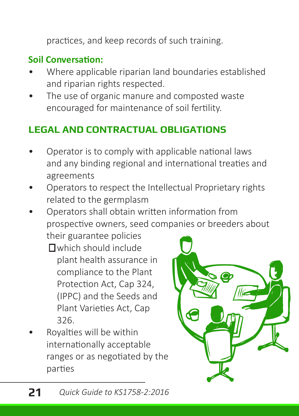practices, and keep records of such training.

#### **Soil Conversation:**

- Where applicable riparian land boundaries established and riparian rights respected.
- The use of organic manure and composted waste encouraged for maintenance of soil fertility.

### **LEGAL AND CONTRACTUAL OBLIGATIONS**

- Operator is to comply with applicable national laws and any binding regional and international treaties and agreements
- Operators to respect the Intellectual Proprietary rights related to the germplasm
- Operators shall obtain written information from prospective owners, seed companies or breeders about their guarantee policies
	- which should include plant health assurance in compliance to the Plant Protection Act, Cap 324, (IPPC) and the Seeds and Plant Varieties Act, Cap 326.
- Royalties will be within internationally acceptable ranges or as negotiated by the parties

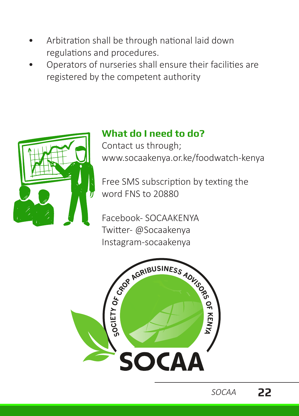- Arbitration shall be through national laid down regulations and procedures.
- Operators of nurseries shall ensure their facilities are registered by the competent authority



# **What do I need to do?**

Contact us through; www.socaakenya.or.ke/foodwatch-kenya

Free SMS subscription by texting the word FNS to 20880

Facebook- SOCAAKENYA Twitter- @Socaakenya Instagram-socaakenya